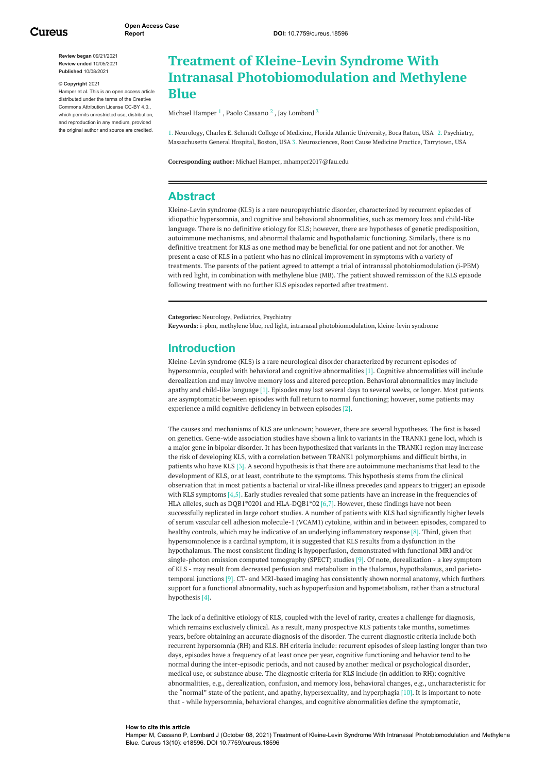**Review began** 09/21/2021 **Review ended** 10/05/2021 **Published** 10/08/2021

#### **© Copyright** 2021

Hamper et al. This is an open access article distributed under the terms of the Creative Commons Attribution License CC-BY 4.0., which permits unrestricted use, distribution, and reproduction in any medium, provided the original author and source are credited.

# **Treatment of Kleine-Levin Syndrome With Intranasal Photobiomodulation and Methylene Blue**

Michael [Hamper](https://www.cureus.com/users/282833-michael-c-hamper)  $^1$  , Paolo [Cassano](https://www.cureus.com/users/284649-poalo-cassano)  $^2$  , Jay [Lombard](https://www.cureus.com/users/284650-jay-lombard)  $^3$ 

1. Neurology, Charles E. Schmidt College of Medicine, Florida Atlantic University, Boca Raton, USA 2. Psychiatry, Massachusetts General Hospital, Boston, USA 3. Neurosciences, Root Cause Medicine Practice, Tarrytown, USA

**Corresponding author:** Michael Hamper, mhamper2017@fau.edu

### **Abstract**

Kleine-Levin syndrome (KLS) is a rare neuropsychiatric disorder, characterized by recurrent episodes of idiopathic hypersomnia, and cognitive and behavioral abnormalities, such as memory loss and child-like language. There is no definitive etiology for KLS; however, there are hypotheses of genetic predisposition, autoimmune mechanisms, and abnormal thalamic and hypothalamic functioning. Similarly, there is no definitive treatment for KLS as one method may be beneficial for one patient and not for another. We present a case of KLS in a patient who has no clinical improvement in symptoms with a variety of treatments. The parents of the patient agreed to attempt a trial of intranasal photobiomodulation (i-PBM) with red light, in combination with methylene blue (MB). The patient showed remission of the KLS episode following treatment with no further KLS episodes reported after treatment.

**Categories:** Neurology, Pediatrics, Psychiatry

**Keywords:** i-pbm, methylene blue, red light, intranasal photobiomodulation, kleine-levin syndrome

### **Introduction**

Kleine-Levin syndrome (KLS) is a rare neurological disorder characterized by recurrent episodes of hypersomnia, coupled with behavioral and cognitive abnormalities [1]. Cognitive abnormalities will include derealization and may involve memory loss and altered perception. Behavioral abnormalities may include apathy and child-like language [1]. Episodes may last several days to several weeks, or longer. Most patients are asymptomatic between episodes with full return to normal functioning; however, some patients may experience a mild cognitive deficiency in between episodes [2].

The causes and mechanisms of KLS are unknown; however, there are several hypotheses. The first is based on genetics. Gene-wide association studies have shown a link to variants in the TRANK1 gene loci, which is a major gene in bipolar disorder. It has been hypothesized that variants in the TRANK1 region may increase the risk of developing KLS, with a correlation between TRANK1 polymorphisms and difficult births, in patients who have KLS [3]. A second hypothesis is that there are autoimmune mechanisms that lead to the development of KLS, or at least, contribute to the symptoms. This hypothesis stems from the clinical observation that in most patients a bacterial or viral-like illness precedes (and appears to trigger) an episode with KLS symptoms [4,5]. Early studies revealed that some patients have an increase in the frequencies of HLA alleles, such as DQB1\*0201 and HLA-DQB1\*02 [6,7]. However, these findings have not been successfully replicated in large cohort studies. A number of patients with KLS had significantly higher levels of serum vascular cell adhesion molecule-1 (VCAM1) cytokine, within and in between episodes, compared to healthy controls, which may be indicative of an underlying inflammatory response [8]. Third, given that hypersomnolence is a cardinal symptom, it is suggested that KLS results from a dysfunction in the hypothalamus. The most consistent finding is hypoperfusion, demonstrated with functional MRI and/or single-photon emission computed tomography (SPECT) studies [9]. Of note, derealization - a key symptom of KLS - may result from decreased perfusion and metabolism in the thalamus, hypothalamus, and parietotemporal junctions [9]. CT- and MRI-based imaging has consistently shown normal anatomy, which furthers support for a functional abnormality, such as hypoperfusion and hypometabolism, rather than a structural hypothesis [4].

The lack of a definitive etiology of KLS, coupled with the level of rarity, creates a challenge for diagnosis, which remains exclusively clinical. As a result, many prospective KLS patients take months, sometimes years, before obtaining an accurate diagnosis of the disorder. The current diagnostic criteria include both recurrent hypersomnia (RH) and KLS. RH criteria include: recurrent episodes of sleep lasting longer than two days, episodes have a frequency of at least once per year, cognitive functioning and behavior tend to be normal during the inter-episodic periods, and not caused by another medical or psychological disorder, medical use, or substance abuse. The diagnostic criteria for KLS include (in addition to RH): cognitive abnormalities, e.g., derealization, confusion, and memory loss, behavioral changes, e.g., uncharacteristic for the "normal" state of the patient, and apathy, hypersexuality, and hyperphagia [10]. It is important to note that - while hypersomnia, behavioral changes, and cognitive abnormalities define the symptomatic,

#### **How to cite this article**

Hamper M, Cassano P, Lombard J (October 08, 2021) Treatment of Kleine-Levin Syndrome With Intranasal Photobiomodulation and Methylene Blue. Cureus 13(10): e18596. DOI 10.7759/cureus.18596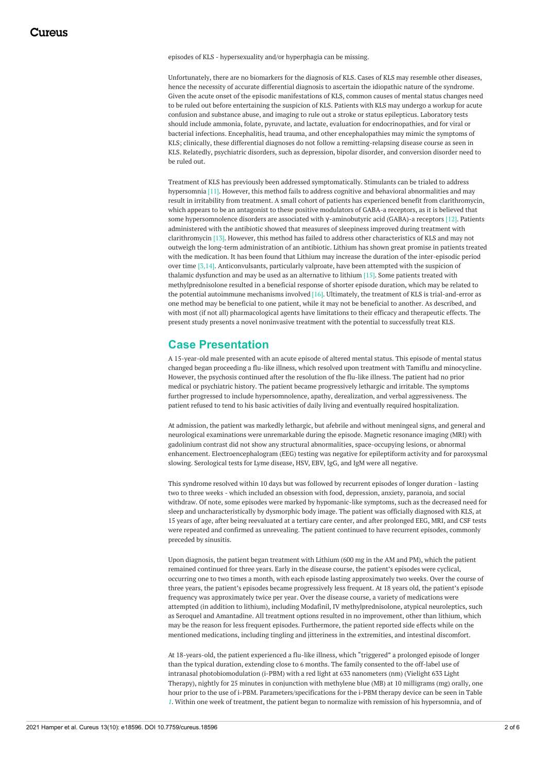episodes of KLS - hypersexuality and/or hyperphagia can be missing.

Unfortunately, there are no biomarkers for the diagnosis of KLS. Cases of KLS may resemble other diseases, hence the necessity of accurate differential diagnosis to ascertain the idiopathic nature of the syndrome. Given the acute onset of the episodic manifestations of KLS, common causes of mental status changes need to be ruled out before entertaining the suspicion of KLS. Patients with KLS may undergo a workup for acute confusion and substance abuse, and imaging to rule out a stroke or status epilepticus. Laboratory tests should include ammonia, folate, pyruvate, and lactate, evaluation for endocrinopathies, and for viral or bacterial infections. Encephalitis, head trauma, and other encephalopathies may mimic the symptoms of KLS; clinically, these differential diagnoses do not follow a remitting-relapsing disease course as seen in KLS. Relatedly, psychiatric disorders, such as depression, bipolar disorder, and conversion disorder need to be ruled out.

Treatment of KLS has previously been addressed symptomatically. Stimulants can be trialed to address hypersomnia [11]. However, this method fails to address cognitive and behavioral abnormalities and may result in irritability from treatment. A small cohort of patients has experienced benefit from clarithromycin, which appears to be an antagonist to these positive modulators of GABA-a receptors, as it is believed that some hypersomnolence disorders are associated with γ-aminobutyric acid (GABA)-a receptors [12]. Patients administered with the antibiotic showed that measures of sleepiness improved during treatment with clarithromycin [13]. However, this method has failed to address other characteristics of KLS and may not outweigh the long-term administration of an antibiotic. Lithium has shown great promise in patients treated with the medication. It has been found that Lithium may increase the duration of the inter-episodic period over time [3,14]. Anticonvulsants, particularly valproate, have been attempted with the suspicion of thalamic dysfunction and may be used as an alternative to lithium [15]. Some patients treated with methylprednisolone resulted in a beneficial response of shorter episode duration, which may be related to the potential autoimmune mechanisms involved [16]. Ultimately, the treatment of KLS is trial-and-error as one method may be beneficial to one patient, while it may not be beneficial to another. As described, and with most (if not all) pharmacological agents have limitations to their efficacy and therapeutic effects. The present study presents a novel noninvasive treatment with the potential to successfully treat KLS.

### **Case Presentation**

A 15-year-old male presented with an acute episode of altered mental status. This episode of mental status changed began proceeding a flu-like illness, which resolved upon treatment with Tamiflu and minocycline. However, the psychosis continued after the resolution of the flu-like illness. The patient had no prior medical or psychiatric history. The patient became progressively lethargic and irritable. The symptoms further progressed to include hypersomnolence, apathy, derealization, and verbal aggressiveness. The patient refused to tend to his basic activities of daily living and eventually required hospitalization.

At admission, the patient was markedly lethargic, but afebrile and without meningeal signs, and general and neurological examinations were unremarkable during the episode. Magnetic resonance imaging (MRI) with gadolinium contrast did not show any structural abnormalities, space-occupying lesions, or abnormal enhancement. Electroencephalogram (EEG) testing was negative for epileptiform activity and for paroxysmal slowing. Serological tests for Lyme disease, HSV, EBV, IgG, and IgM were all negative.

This syndrome resolved within 10 days but was followed by recurrent episodes of longer duration - lasting two to three weeks - which included an obsession with food, depression, anxiety, paranoia, and social withdraw. Of note, some episodes were marked by hypomanic-like symptoms, such as the decreased need for sleep and uncharacteristically by dysmorphic body image. The patient was officially diagnosed with KLS, at 15 years of age, after being reevaluated at a tertiary care center, and after prolonged EEG, MRI, and CSF tests were repeated and confirmed as unrevealing. The patient continued to have recurrent episodes, commonly preceded by sinusitis.

Upon diagnosis, the patient began treatment with Lithium (600 mg in the AM and PM), which the patient remained continued for three years. Early in the disease course, the patient's episodes were cyclical, occurring one to two times a month, with each episode lasting approximately two weeks. Over the course of three years, the patient's episodes became progressively less frequent. At 18 years old, the patient's episode frequency was approximately twice per year. Over the disease course, a variety of medications were attempted (in addition to lithium), including Modafinil, IV methylprednisolone, atypical neuroleptics, such as Seroquel and Amantadine. All treatment options resulted in no improvement, other than lithium, which may be the reason for less frequent episodes. Furthermore, the patient reported side effects while on the mentioned medications, including tingling and jitteriness in the extremities, and intestinal discomfort.

At 18-years-old, the patient experienced a flu-like illness, which "triggered" a prolonged episode of longer than the typical duration, extending close to 6 months. The family consented to the off-label use of intranasal photobiomodulation (i-PBM) with a red light at 633 nanometers (nm) (Vielight 633 Light Therapy), nightly for 25 minutes in conjunction with methylene blue (MB) at 10 milligrams (mg) orally, one hour prior to the use of i-PBM. Parameters/specifications for the i-PBM therapy device can be seen in Table *[1](#page-2-0)*. Within one week of treatment, the patient began to normalize with remission of his hypersomnia, and of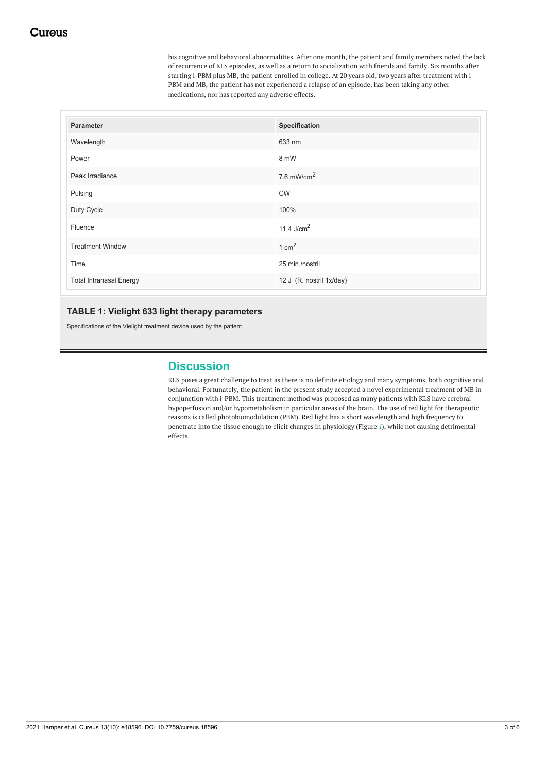his cognitive and behavioral abnormalities. After one month, the patient and family members noted the lack of recurrence of KLS episodes, as well as a return to socialization with friends and family. Six months after starting i-PBM plus MB, the patient enrolled in college. At 20 years old, two years after treatment with i-PBM and MB, the patient has not experienced a relapse of an episode, has been taking any other medications, nor has reported any adverse effects.

<span id="page-2-0"></span>

| Parameter                      | Specification            |
|--------------------------------|--------------------------|
| Wavelength                     | 633 nm                   |
| Power                          | 8 mW                     |
| Peak Irradiance                | 7.6 mW/cm $^2$           |
| Pulsing                        | <b>CW</b>                |
| Duty Cycle                     | 100%                     |
| Fluence                        | 11.4 $J/cm2$             |
| <b>Treatment Window</b>        | $1 \text{ cm}^2$         |
| Time                           | 25 min./nostril          |
| <b>Total Intranasal Energy</b> | 12 J (R. nostril 1x/day) |

### **TABLE 1: Vielight 633 light therapy parameters**

Specifications of the Vielight treatment device used by the patient.

## **Discussion**

KLS poses a great challenge to treat as there is no definite etiology and many symptoms, both cognitive and behavioral. Fortunately, the patient in the present study accepted a novel experimental treatment of MB in conjunction with i-PBM. This treatment method was proposed as many patients with KLS have cerebral hypoperfusion and/or hypometabolism in particular areas of the brain. The use of red light for therapeutic reasons is called photobiomodulation (PBM). Red light has a short wavelength and high frequency to penetrate into the tissue enough to elicit changes in physiology (Figure *[1](#page-3-0)*), while not causing detrimental effects.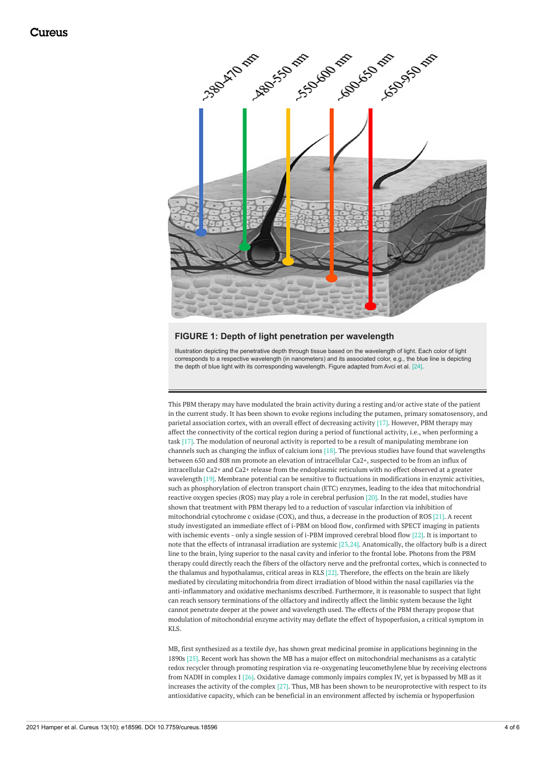<span id="page-3-0"></span>

#### **FIGURE 1: Depth of light penetration per wavelength**

Illustration depicting the penetrative depth through tissue based on the wavelength of light. Each color of light corresponds to a respective wavelength (in nanometers) and its associated color, e.g., the blue line is depicting the depth of blue light with its corresponding wavelength. Figure adapted from Avci et al. [24].

This PBM therapy may have modulated the brain activity during a resting and/or active state of the patient in the current study. It has been shown to evoke regions including the putamen, primary somatosensory, and parietal association cortex, with an overall effect of decreasing activity [17]. However, PBM therapy may affect the connectivity of the cortical region during a period of functional activity, i.e., when performing a task [17]. The modulation of neuronal activity is reported to be a result of manipulating membrane ion channels such as changing the influx of calcium ions [18]. The previous studies have found that wavelengths between 650 and 808 nm promote an elevation of intracellular Ca2+, suspected to be from an influx of intracellular Ca2+ and Ca2+ release from the endoplasmic reticulum with no effect observed at a greater wavelength [19]. Membrane potential can be sensitive to fluctuations in modifications in enzymic activities, such as phosphorylation of electron transport chain (ETC) enzymes, leading to the idea that mitochondrial reactive oxygen species (ROS) may play a role in cerebral perfusion [20]. In the rat model, studies have shown that treatment with PBM therapy led to a reduction of vascular infarction via inhibition of mitochondrial cytochrome c oxidase (COX), and thus, a decrease in the production of ROS [21]. A recent study investigated an immediate effect of i-PBM on blood flow, confirmed with SPECT imaging in patients with ischemic events - only a single session of i-PBM improved cerebral blood flow [22]. It is important to note that the effects of intranasal irradiation are systemic [23,24]. Anatomically, the olfactory bulb is a direct line to the brain, lying superior to the nasal cavity and inferior to the frontal lobe. Photons from the PBM therapy could directly reach the fibers of the olfactory nerve and the prefrontal cortex, which is connected to the thalamus and hypothalamus, critical areas in KLS [22]. Therefore, the effects on the brain are likely mediated by circulating mitochondria from direct irradiation of blood within the nasal capillaries via the anti-inflammatory and oxidative mechanisms described. Furthermore, it is reasonable to suspect that light can reach sensory terminations of the olfactory and indirectly affect the limbic system because the light cannot penetrate deeper at the power and wavelength used. The effects of the PBM therapy propose that modulation of mitochondrial enzyme activity may deflate the effect of hypoperfusion, a critical symptom in KLS.

MB, first synthesized as a textile dye, has shown great medicinal promise in applications beginning in the 1890s [25]. Recent work has shown the MB has a major effect on mitochondrial mechanisms as a catalytic redox recycler through promoting respiration via re-oxygenating leucomethylene blue by receiving electrons from NADH in complex I [26]. Oxidative damage commonly impairs complex IV, yet is bypassed by MB as it increases the activity of the complex [27]. Thus, MB has been shown to be neuroprotective with respect to its antioxidative capacity, which can be beneficial in an environment affected by ischemia or hypoperfusion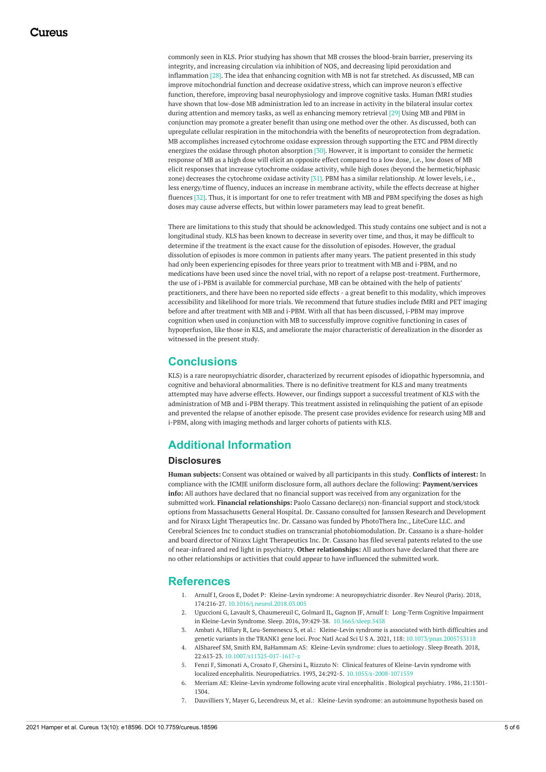commonly seen in KLS. Prior studying has shown that MB crosses the blood-brain barrier, preserving its integrity, and increasing circulation via inhibition of NOS, and decreasing lipid peroxidation and inflammation [28]. The idea that enhancing cognition with MB is not far stretched. As discussed, MB can improve mitochondrial function and decrease oxidative stress, which can improve neuron's effective function, therefore, improving basal neurophysiology and improve cognitive tasks. Human fMRI studies have shown that low-dose MB administration led to an increase in activity in the bilateral insular cortex during attention and memory tasks, as well as enhancing memory retrieval [29] Using MB and PBM in conjunction may promote a greater benefit than using one method over the other. As discussed, both can upregulate cellular respiration in the mitochondria with the benefits of neuroprotection from degradation. MB accomplishes increased cytochrome oxidase expression through supporting the ETC and PBM directly energizes the oxidase through photon absorption [30]. However, it is important to consider the hermetic response of MB as a high dose will elicit an opposite effect compared to a low dose, i.e., low doses of MB elicit responses that increase cytochrome oxidase activity, while high doses (beyond the hermetic/biphasic zone) decreases the cytochrome oxidase activity [31]. PBM has a similar relationship. At lower levels, i.e., less energy/time of fluency, induces an increase in membrane activity, while the effects decrease at higher fluences [32]. Thus, it is important for one to refer treatment with MB and PBM specifying the doses as high doses may cause adverse effects, but within lower parameters may lead to great benefit.

There are limitations to this study that should be acknowledged. This study contains one subject and is not a longitudinal study. KLS has been known to decrease in severity over time, and thus, it may be difficult to determine if the treatment is the exact cause for the dissolution of episodes. However, the gradual dissolution of episodes is more common in patients after many years. The patient presented in this study had only been experiencing episodes for three years prior to treatment with MB and i-PBM, and no medications have been used since the novel trial, with no report of a relapse post-treatment. Furthermore, the use of i-PBM is available for commercial purchase, MB can be obtained with the help of patients' practitioners, and there have been no reported side effects - a great benefit to this modality, which improves accessibility and likelihood for more trials. We recommend that future studies include fMRI and PET imaging before and after treatment with MB and i-PBM. With all that has been discussed, i-PBM may improve cognition when used in conjunction with MB to successfully improve cognitive functioning in cases of hypoperfusion, like those in KLS, and ameliorate the major characteristic of derealization in the disorder as witnessed in the present study.

## **Conclusions**

KLS) is a rare neuropsychiatric disorder, characterized by recurrent episodes of idiopathic hypersomnia, and cognitive and behavioral abnormalities. There is no definitive treatment for KLS and many treatments attempted may have adverse effects. However, our findings support a successful treatment of KLS with the administration of MB and i-PBM therapy. This treatment assisted in relinquishing the patient of an episode and prevented the relapse of another episode. The present case provides evidence for research using MB and i-PBM, along with imaging methods and larger cohorts of patients with KLS.

## **Additional Information**

### **Disclosures**

**Human subjects:** Consent was obtained or waived by all participants in this study. **Conflicts of interest:** In compliance with the ICMJE uniform disclosure form, all authors declare the following: **Payment/services info:** All authors have declared that no financial support was received from any organization for the submitted work. **Financial relationships:** Paolo Cassano declare(s) non-financial support and stock/stock options from Massachusetts General Hospital. Dr. Cassano consulted for Janssen Research and Development and for Niraxx Light Therapeutics Inc. Dr. Cassano was funded by PhotoThera Inc., LiteCure LLC. and Cerebral Sciences Inc to conduct studies on transcranial photobiomodulation. Dr. Cassano is a share-holder and board director of Niraxx Light Therapeutics Inc. Dr. Cassano has filed several patents related to the use of near-infrared and red light in psychiatry. **Other relationships:** All authors have declared that there are no other relationships or activities that could appear to have influenced the submitted work.

### **References**

- 1. Arnulf I, Groos E, Dodet P: Kleine-Levin syndrome: A [neuropsychiatric](https://dx.doi.org/10.1016/j.neurol.2018.03.005) disorder. Rev Neurol (Paris). 2018, 174:216-27. [10.1016/j.neurol.2018.03.005](https://dx.doi.org/10.1016/j.neurol.2018.03.005)
- 2. Uguccioni G, Lavault S, Chaumereuil C, Golmard JL, Gagnon JF, Arnulf I: Long-Term Cognitive Impairment in Kleine-Levin Syndrome. Sleep. 2016, 39:429-38. [10.5665/sleep.5458](https://dx.doi.org/10.5665/sleep.5458)
- 3. Ambati A, Hillary R, Leu-Semenescu S, et al.: Kleine-Levin syndrome is associated with birth difficulties and genetic variants in the TRANK1 gene loci. Proc Natl Acad Sci U S A. 2021, 118: [10.1073/pnas.2005753118](https://dx.doi.org/10.1073/pnas.2005753118)
- 4. AlShareef SM, Smith RM, BaHammam AS: [Kleine-Levin](https://dx.doi.org/10.1007/s11325-017-1617-z) syndrome: clues to aetiology. Sleep Breath. 2018, 22:613-23. [10.1007/s11325-017-1617-z](https://dx.doi.org/10.1007/s11325-017-1617-z)
- 5. Fenzi F, Simonati A, Crosato F, Ghersini L, Rizzuto N: Clinical features of Kleine-Levin syndrome with localized encephalitis. Neuropediatrics. 1993, 24:292-5. [10.1055/s-2008-1071559](https://dx.doi.org/10.1055/s-2008-1071559)
- 6. Merriam AE: [Kleine-Levin](https://doi.org/10.1016/0006-3223(86)90313-6) syndrome following acute viral encephalitis . Biological psychiatry. 1986, 21:1301- 1304.
- 7. Dauvilliers Y, Mayer G, Lecendreux M, et al.: [Kleine-Levin](https://dx.doi.org/10.1212/01.wnl.0000036605.89977.d0) syndrome: an autoimmune hypothesis based on